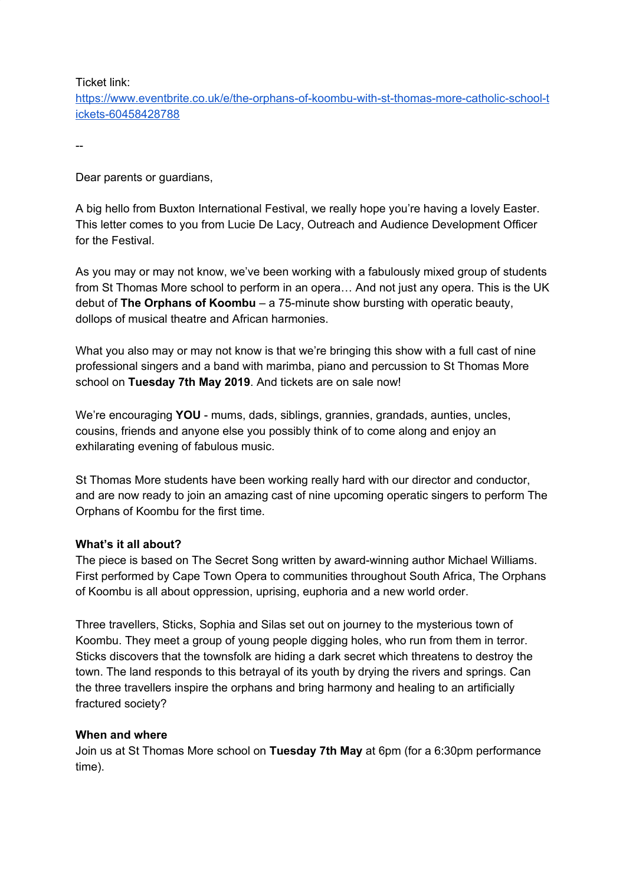Ticket link:

[https://www.eventbrite.co.uk/e/the-orphans-of-koombu-with-st-thomas-more-catholic-school-t](https://www.eventbrite.co.uk/e/the-orphans-of-koombu-with-st-thomas-more-catholic-school-tickets-60458428788) [ickets-60458428788](https://www.eventbrite.co.uk/e/the-orphans-of-koombu-with-st-thomas-more-catholic-school-tickets-60458428788)

--

Dear parents or guardians,

A big hello from Buxton International Festival, we really hope you're having a lovely Easter. This letter comes to you from Lucie De Lacy, Outreach and Audience Development Officer for the Festival.

As you may or may not know, we've been working with a fabulously mixed group of students from St Thomas More school to perform in an opera… And not just any opera. This is the UK debut of **The Orphans of Koombu** – a 75-minute show bursting with operatic beauty, dollops of musical theatre and African harmonies.

What you also may or may not know is that we're bringing this show with a full cast of nine professional singers and a band with marimba, piano and percussion to St Thomas More school on **Tuesday 7th May 2019**. And tickets are on sale now!

We're encouraging **YOU** - mums, dads, siblings, grannies, grandads, aunties, uncles, cousins, friends and anyone else you possibly think of to come along and enjoy an exhilarating evening of fabulous music.

St Thomas More students have been working really hard with our director and conductor, and are now ready to join an amazing cast of nine upcoming operatic singers to perform The Orphans of Koombu for the first time.

## **What's it all about?**

The piece is based on The Secret Song written by award-winning author Michael Williams. First performed by Cape Town Opera to communities throughout South Africa, The Orphans of Koombu is all about oppression, uprising, euphoria and a new world order.

Three travellers, Sticks, Sophia and Silas set out on journey to the mysterious town of Koombu. They meet a group of young people digging holes, who run from them in terror. Sticks discovers that the townsfolk are hiding a dark secret which threatens to destroy the town. The land responds to this betrayal of its youth by drying the rivers and springs. Can the three travellers inspire the orphans and bring harmony and healing to an artificially fractured society?

## **When and where**

Join us at St Thomas More school on **Tuesday 7th May** at 6pm (for a 6:30pm performance time).